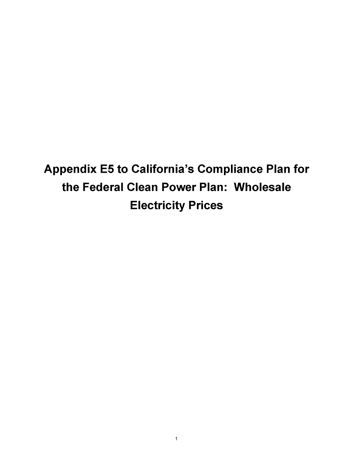**Appendix E5 to California's Compliance Plan for the Federal Clean Power Plan: Wholesale Electricity Prices**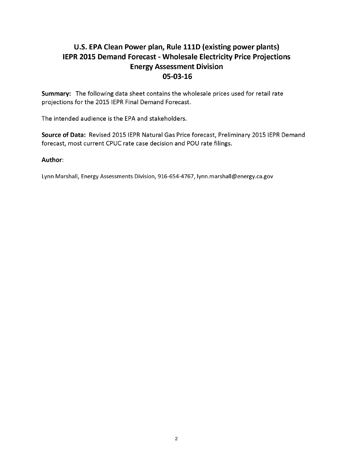## **U.S. EPA Clean Power plan, Rule 111D (existing power plants) IEPR 2015 Demand Forecast - Wholesale Electricity Price Projections Energy Assessment Division 05-03-16**

**Summary:** The following data sheet contains the wholesale prices used for retail rate projections for the 2015 IEPR Final Demand Forecast.

The intended audience is the EPA and stakeholders.

**Source of Data:** Revised 2015 IEPR Natural Gas Price forecast, Preliminary 2015 IEPR Demand forecast, most current CPUC rate case decision and POU rate filings.

## **Author**:

Lynn Marshall, Energy Assessments Division, 916-654-4767, [lynn.marshall@energy.ca.gov](mailto:lynn.marshall@energy.ca.gov)